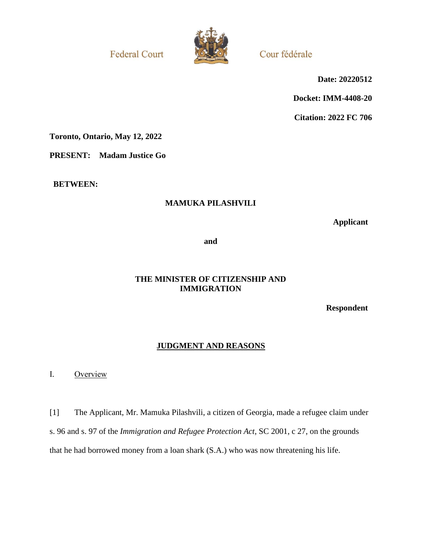**Federal Court** 



Cour fédérale

**Date: 20220512**

**Docket: IMM-4408-20**

**Citation: 2022 FC 706**

**Toronto, Ontario, May 12, 2022**

**PRESENT: Madam Justice Go**

**BETWEEN:**

## **MAMUKA PILASHVILI**

**Applicant**

**and**

## **THE MINISTER OF CITIZENSHIP AND IMMIGRATION**

**Respondent**

# **JUDGMENT AND REASONS**

I. Overview

[1] The Applicant, Mr. Mamuka Pilashvili, a citizen of Georgia, made a refugee claim under s. 96 and s. 97 of the *Immigration and Refugee Protection Act*, SC 2001, c 27, on the grounds that he had borrowed money from a loan shark (S.A.) who was now threatening his life.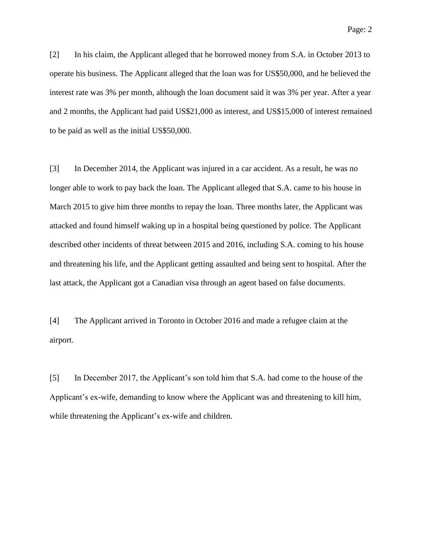[2] In his claim, the Applicant alleged that he borrowed money from S.A. in October 2013 to operate his business. The Applicant alleged that the loan was for US\$50,000, and he believed the interest rate was 3% per month, although the loan document said it was 3% per year. After a year and 2 months, the Applicant had paid US\$21,000 as interest, and US\$15,000 of interest remained to be paid as well as the initial US\$50,000.

[3] In December 2014, the Applicant was injured in a car accident. As a result, he was no longer able to work to pay back the loan. The Applicant alleged that S.A. came to his house in March 2015 to give him three months to repay the loan. Three months later, the Applicant was attacked and found himself waking up in a hospital being questioned by police. The Applicant described other incidents of threat between 2015 and 2016, including S.A. coming to his house and threatening his life, and the Applicant getting assaulted and being sent to hospital. After the last attack, the Applicant got a Canadian visa through an agent based on false documents.

[4] The Applicant arrived in Toronto in October 2016 and made a refugee claim at the airport.

[5] In December 2017, the Applicant's son told him that S.A. had come to the house of the Applicant's ex-wife, demanding to know where the Applicant was and threatening to kill him, while threatening the Applicant's ex-wife and children.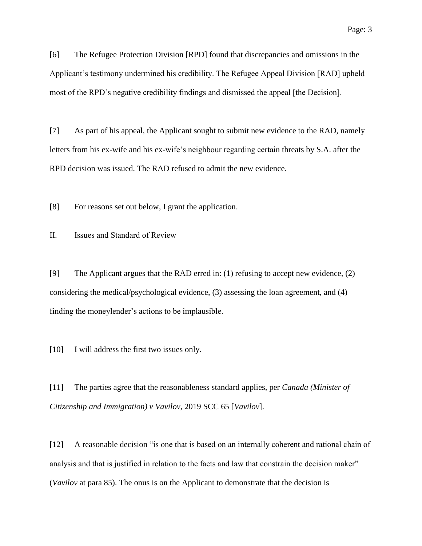[6] The Refugee Protection Division [RPD] found that discrepancies and omissions in the Applicant's testimony undermined his credibility. The Refugee Appeal Division [RAD] upheld most of the RPD's negative credibility findings and dismissed the appeal [the Decision].

[7] As part of his appeal, the Applicant sought to submit new evidence to the RAD, namely letters from his ex-wife and his ex-wife's neighbour regarding certain threats by S.A. after the RPD decision was issued. The RAD refused to admit the new evidence.

[8] For reasons set out below, I grant the application.

#### II. Issues and Standard of Review

[9] The Applicant argues that the RAD erred in: (1) refusing to accept new evidence, (2) considering the medical/psychological evidence, (3) assessing the loan agreement, and (4) finding the moneylender's actions to be implausible.

[10] I will address the first two issues only.

[11] The parties agree that the reasonableness standard applies, per *Canada (Minister of Citizenship and Immigration) v Vavilov*, 2019 SCC 65 [*Vavilov*].

[12] A reasonable decision "is one that is based on an internally coherent and rational chain of analysis and that is justified in relation to the facts and law that constrain the decision maker" (*Vavilov* at para 85). The onus is on the Applicant to demonstrate that the decision is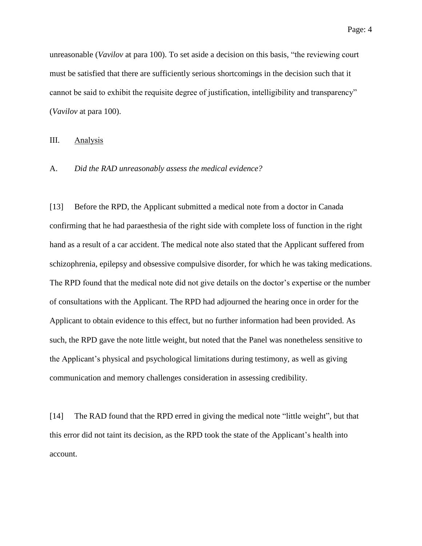unreasonable (*Vavilov* at para 100). To set aside a decision on this basis, "the reviewing court must be satisfied that there are sufficiently serious shortcomings in the decision such that it cannot be said to exhibit the requisite degree of justification, intelligibility and transparency" (*Vavilov* at para 100).

#### III. Analysis

#### A. *Did the RAD unreasonably assess the medical evidence?*

[13] Before the RPD, the Applicant submitted a medical note from a doctor in Canada confirming that he had paraesthesia of the right side with complete loss of function in the right hand as a result of a car accident. The medical note also stated that the Applicant suffered from schizophrenia, epilepsy and obsessive compulsive disorder, for which he was taking medications. The RPD found that the medical note did not give details on the doctor's expertise or the number of consultations with the Applicant. The RPD had adjourned the hearing once in order for the Applicant to obtain evidence to this effect, but no further information had been provided. As such, the RPD gave the note little weight, but noted that the Panel was nonetheless sensitive to the Applicant's physical and psychological limitations during testimony, as well as giving communication and memory challenges consideration in assessing credibility.

[14] The RAD found that the RPD erred in giving the medical note "little weight", but that this error did not taint its decision, as the RPD took the state of the Applicant's health into account.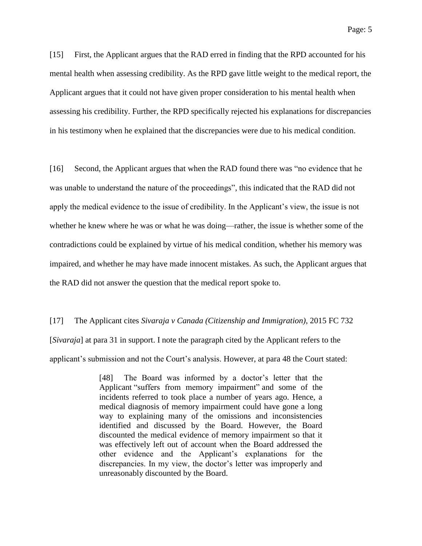[15] First, the Applicant argues that the RAD erred in finding that the RPD accounted for his mental health when assessing credibility. As the RPD gave little weight to the medical report, the Applicant argues that it could not have given proper consideration to his mental health when assessing his credibility. Further, the RPD specifically rejected his explanations for discrepancies in his testimony when he explained that the discrepancies were due to his medical condition.

[16] Second, the Applicant argues that when the RAD found there was "no evidence that he was unable to understand the nature of the proceedings", this indicated that the RAD did not apply the medical evidence to the issue of credibility. In the Applicant's view, the issue is not whether he knew where he was or what he was doing—rather, the issue is whether some of the contradictions could be explained by virtue of his medical condition, whether his memory was impaired, and whether he may have made innocent mistakes. As such, the Applicant argues that the RAD did not answer the question that the medical report spoke to.

[17] The Applicant cites *Sivaraja v Canada (Citizenship and Immigration)*, 2015 FC 732 [*Sivaraja*] at para 31 in support. I note the paragraph cited by the Applicant refers to the applicant's submission and not the Court's analysis. However, at para 48 the Court stated:

> [48] The Board was informed by a doctor's letter that the Applicant "suffers from memory impairment" and some of the incidents referred to took place a number of years ago. Hence, a medical diagnosis of memory impairment could have gone a long way to explaining many of the omissions and inconsistencies identified and discussed by the Board. However, the Board discounted the medical evidence of memory impairment so that it was effectively left out of account when the Board addressed the other evidence and the Applicant's explanations for the discrepancies. In my view, the doctor's letter was improperly and unreasonably discounted by the Board.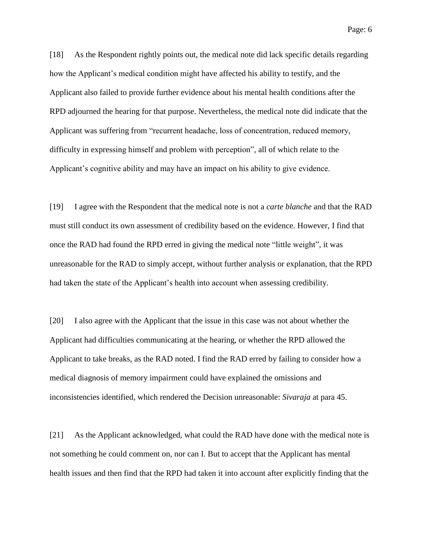Page: 6

[18] As the Respondent rightly points out, the medical note did lack specific details regarding how the Applicant's medical condition might have affected his ability to testify, and the Applicant also failed to provide further evidence about his mental health conditions after the RPD adjourned the hearing for that purpose. Nevertheless, the medical note did indicate that the Applicant was suffering from "recurrent headache, loss of concentration, reduced memory, difficulty in expressing himself and problem with perception", all of which relate to the Applicant's cognitive ability and may have an impact on his ability to give evidence.

[19] I agree with the Respondent that the medical note is not a *carte blanche* and that the RAD must still conduct its own assessment of credibility based on the evidence. However, I find that once the RAD had found the RPD erred in giving the medical note "little weight", it was unreasonable for the RAD to simply accept, without further analysis or explanation, that the RPD had taken the state of the Applicant's health into account when assessing credibility.

[20] I also agree with the Applicant that the issue in this case was not about whether the Applicant had difficulties communicating at the hearing, or whether the RPD allowed the Applicant to take breaks, as the RAD noted. I find the RAD erred by failing to consider how a medical diagnosis of memory impairment could have explained the omissions and inconsistencies identified, which rendered the Decision unreasonable: *Sivaraja* at para 45.

[21] As the Applicant acknowledged, what could the RAD have done with the medical note is not something he could comment on, nor can I. But to accept that the Applicant has mental health issues and then find that the RPD had taken it into account after explicitly finding that the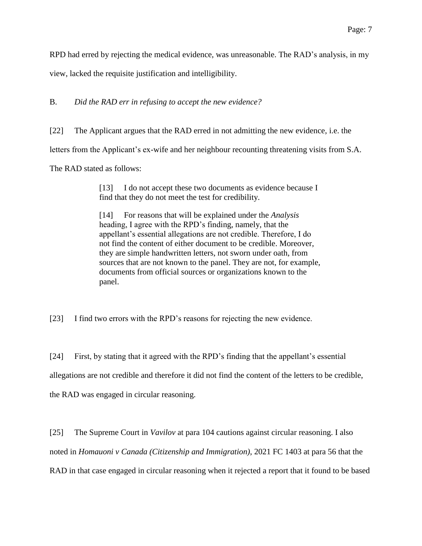RPD had erred by rejecting the medical evidence, was unreasonable. The RAD's analysis, in my view, lacked the requisite justification and intelligibility.

B. *Did the RAD err in refusing to accept the new evidence?*

[22] The Applicant argues that the RAD erred in not admitting the new evidence, i.e. the

letters from the Applicant's ex-wife and her neighbour recounting threatening visits from S.A.

The RAD stated as follows:

[13] I do not accept these two documents as evidence because I find that they do not meet the test for credibility.

[14] For reasons that will be explained under the *Analysis*  heading, I agree with the RPD's finding, namely, that the appellant's essential allegations are not credible. Therefore, I do not find the content of either document to be credible. Moreover, they are simple handwritten letters, not sworn under oath, from sources that are not known to the panel. They are not, for example, documents from official sources or organizations known to the panel.

[23] I find two errors with the RPD's reasons for rejecting the new evidence.

[24] First, by stating that it agreed with the RPD's finding that the appellant's essential allegations are not credible and therefore it did not find the content of the letters to be credible, the RAD was engaged in circular reasoning.

[25] The Supreme Court in *Vavilov* at para 104 cautions against circular reasoning. I also noted in *Homauoni v Canada (Citizenship and Immigration)*, 2021 FC 1403 at para 56 that the RAD in that case engaged in circular reasoning when it rejected a report that it found to be based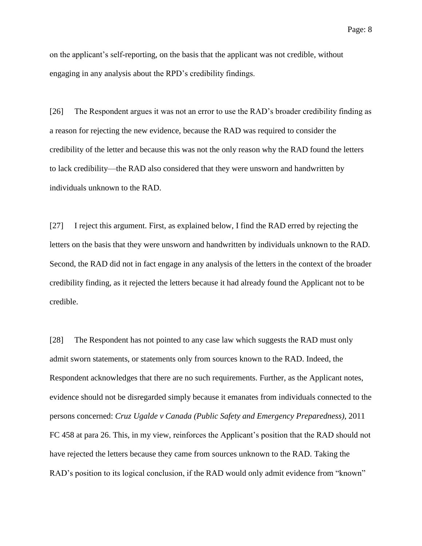on the applicant's self-reporting, on the basis that the applicant was not credible, without engaging in any analysis about the RPD's credibility findings.

[26] The Respondent argues it was not an error to use the RAD's broader credibility finding as a reason for rejecting the new evidence, because the RAD was required to consider the credibility of the letter and because this was not the only reason why the RAD found the letters to lack credibility—the RAD also considered that they were unsworn and handwritten by individuals unknown to the RAD.

[27] I reject this argument. First, as explained below, I find the RAD erred by rejecting the letters on the basis that they were unsworn and handwritten by individuals unknown to the RAD. Second, the RAD did not in fact engage in any analysis of the letters in the context of the broader credibility finding, as it rejected the letters because it had already found the Applicant not to be credible.

[28] The Respondent has not pointed to any case law which suggests the RAD must only admit sworn statements, or statements only from sources known to the RAD. Indeed, the Respondent acknowledges that there are no such requirements. Further, as the Applicant notes, evidence should not be disregarded simply because it emanates from individuals connected to the persons concerned: *Cruz Ugalde v Canada (Public Safety and Emergency Preparedness)*, 2011 FC 458 at para 26. This, in my view, reinforces the Applicant's position that the RAD should not have rejected the letters because they came from sources unknown to the RAD. Taking the RAD's position to its logical conclusion, if the RAD would only admit evidence from "known"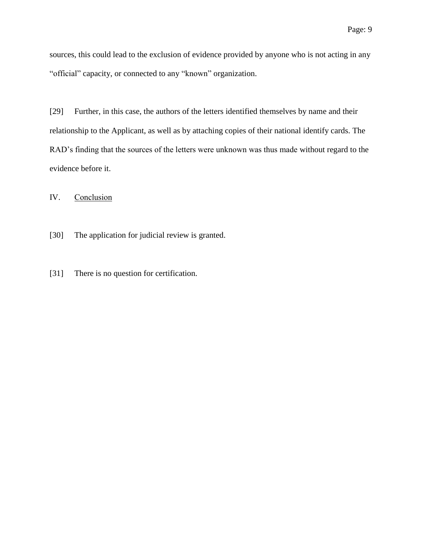sources, this could lead to the exclusion of evidence provided by anyone who is not acting in any "official" capacity, or connected to any "known" organization.

[29] Further, in this case, the authors of the letters identified themselves by name and their relationship to the Applicant, as well as by attaching copies of their national identify cards. The RAD's finding that the sources of the letters were unknown was thus made without regard to the evidence before it.

IV. Conclusion

- [30] The application for judicial review is granted.
- [31] There is no question for certification.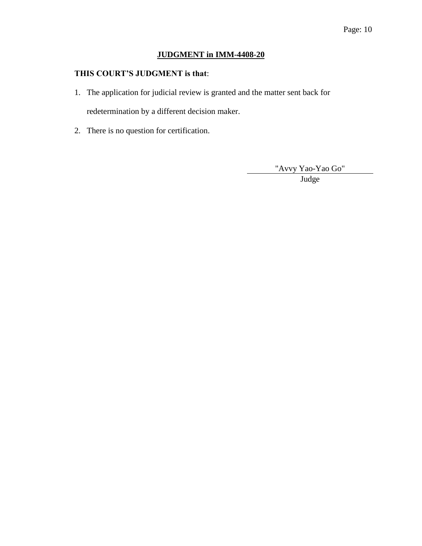# **JUDGMENT in IMM-4408-20**

## **THIS COURT'S JUDGMENT is that**:

- 1. The application for judicial review is granted and the matter sent back for redetermination by a different decision maker.
- 2. There is no question for certification.

"Avvy Yao-Yao Go"

Judge